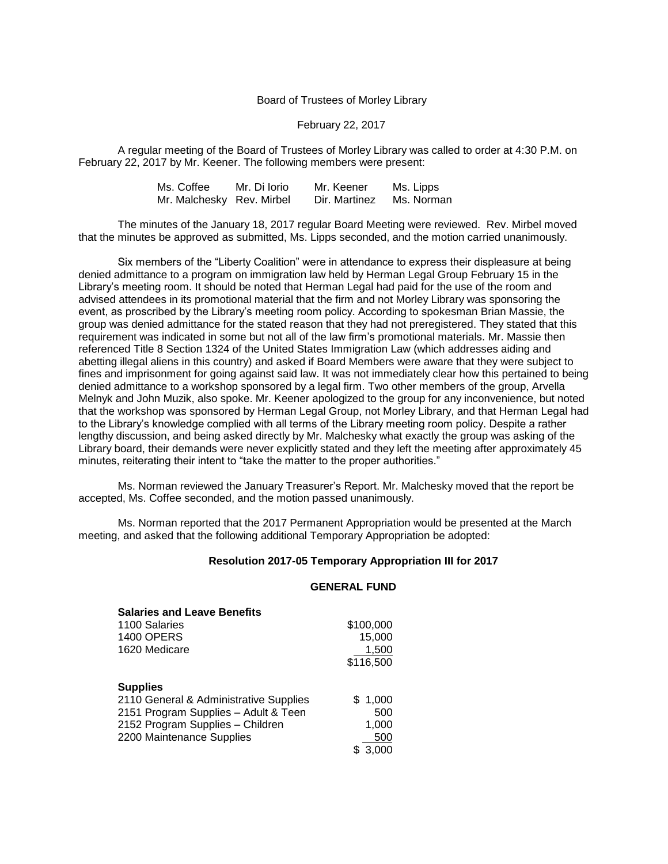### Board of Trustees of Morley Library

## February 22, 2017

A regular meeting of the Board of Trustees of Morley Library was called to order at 4:30 P.M. on February 22, 2017 by Mr. Keener. The following members were present:

| Ms. Coffee                | Mr. Di Iorio | Mr. Keener    | Ms. Lipps  |
|---------------------------|--------------|---------------|------------|
| Mr. Malchesky Rev. Mirbel |              | Dir. Martinez | Ms. Norman |

The minutes of the January 18, 2017 regular Board Meeting were reviewed. Rev. Mirbel moved that the minutes be approved as submitted, Ms. Lipps seconded, and the motion carried unanimously.

Six members of the "Liberty Coalition" were in attendance to express their displeasure at being denied admittance to a program on immigration law held by Herman Legal Group February 15 in the Library's meeting room. It should be noted that Herman Legal had paid for the use of the room and advised attendees in its promotional material that the firm and not Morley Library was sponsoring the event, as proscribed by the Library's meeting room policy. According to spokesman Brian Massie, the group was denied admittance for the stated reason that they had not preregistered. They stated that this requirement was indicated in some but not all of the law firm's promotional materials. Mr. Massie then referenced Title 8 Section 1324 of the United States Immigration Law (which addresses aiding and abetting illegal aliens in this country) and asked if Board Members were aware that they were subject to fines and imprisonment for going against said law. It was not immediately clear how this pertained to being denied admittance to a workshop sponsored by a legal firm. Two other members of the group, Arvella Melnyk and John Muzik, also spoke. Mr. Keener apologized to the group for any inconvenience, but noted that the workshop was sponsored by Herman Legal Group, not Morley Library, and that Herman Legal had to the Library's knowledge complied with all terms of the Library meeting room policy. Despite a rather lengthy discussion, and being asked directly by Mr. Malchesky what exactly the group was asking of the Library board, their demands were never explicitly stated and they left the meeting after approximately 45 minutes, reiterating their intent to "take the matter to the proper authorities."

Ms. Norman reviewed the January Treasurer's Report. Mr. Malchesky moved that the report be accepted, Ms. Coffee seconded, and the motion passed unanimously.

Ms. Norman reported that the 2017 Permanent Appropriation would be presented at the March meeting, and asked that the following additional Temporary Appropriation be adopted:

# **Resolution 2017-05 Temporary Appropriation III for 2017**

#### **GENERAL FUND**

| <b>Salaries and Leave Benefits</b>     |           |
|----------------------------------------|-----------|
| 1100 Salaries                          | \$100,000 |
| <b>1400 OPERS</b>                      | 15,000    |
| 1620 Medicare                          | 1,500     |
|                                        | \$116,500 |
| <b>Supplies</b>                        |           |
| 2110 General & Administrative Supplies | \$1,000   |
| 2151 Program Supplies - Adult & Teen   | 500       |
| 2152 Program Supplies - Children       | 1,000     |
| 2200 Maintenance Supplies              | 500       |
|                                        | 3,000     |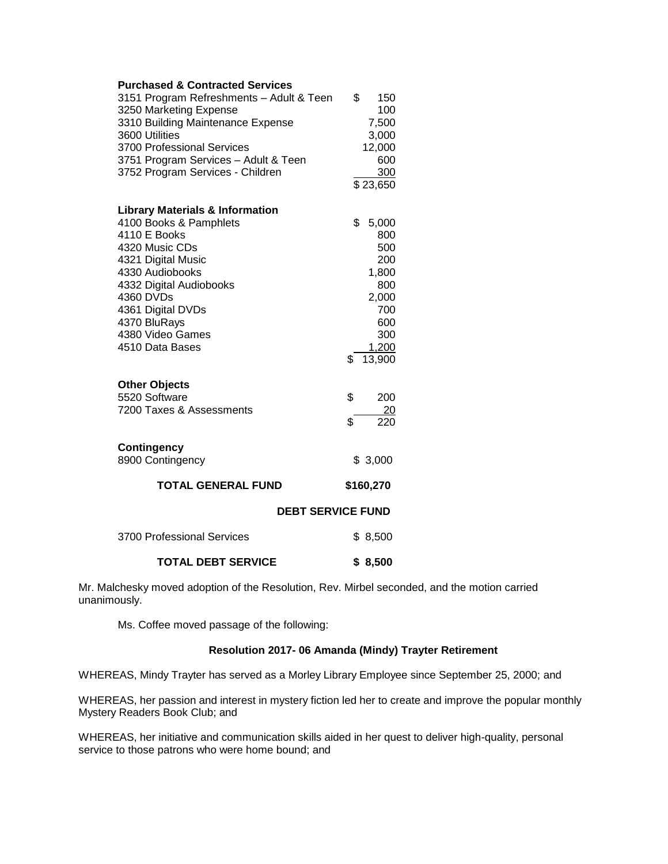| <b>Purchased &amp; Contracted Services</b><br>3151 Program Refreshments - Adult & Teen<br>3250 Marketing Expense<br>3310 Building Maintenance Expense<br>3600 Utilities<br>3700 Professional Services<br>3751 Program Services - Adult & Teen<br>3752 Program Services - Children | \$<br>150<br>100<br>7,500<br>3,000<br>12,000<br>600<br>300<br>$\overline{$}23,650$                      |  |
|-----------------------------------------------------------------------------------------------------------------------------------------------------------------------------------------------------------------------------------------------------------------------------------|---------------------------------------------------------------------------------------------------------|--|
| <b>Library Materials &amp; Information</b><br>4100 Books & Pamphlets<br>4110 E Books<br>4320 Music CDs<br>4321 Digital Music<br>4330 Audiobooks<br>4332 Digital Audiobooks<br>4360 DVDs<br>4361 Digital DVDs<br>4370 BluRays<br>4380 Video Games<br>4510 Data Bases               | \$<br>5,000<br>800<br>500<br>200<br>1,800<br>800<br>2,000<br>700<br>600<br>300<br>1,200<br>13,900<br>\$ |  |
| <b>Other Objects</b><br>5520 Software<br>7200 Taxes & Assessments<br><b>Contingency</b><br>8900 Contingency                                                                                                                                                                       | \$<br>200<br><u>20</u><br>220<br>\$<br>\$3,000                                                          |  |
| <b>TOTAL GENERAL FUND</b>                                                                                                                                                                                                                                                         | \$160,270                                                                                               |  |
| <b>DEBT SERVICE FUND</b>                                                                                                                                                                                                                                                          |                                                                                                         |  |
| 3700 Professional Services                                                                                                                                                                                                                                                        | \$8,500                                                                                                 |  |
| <b>TOTAL DEBT SERVICE</b>                                                                                                                                                                                                                                                         | \$8,500                                                                                                 |  |

Mr. Malchesky moved adoption of the Resolution, Rev. Mirbel seconded, and the motion carried unanimously.

Ms. Coffee moved passage of the following:

# **Resolution 2017- 06 Amanda (Mindy) Trayter Retirement**

WHEREAS, Mindy Trayter has served as a Morley Library Employee since September 25, 2000; and

WHEREAS, her passion and interest in mystery fiction led her to create and improve the popular monthly Mystery Readers Book Club; and

WHEREAS, her initiative and communication skills aided in her quest to deliver high-quality, personal service to those patrons who were home bound; and